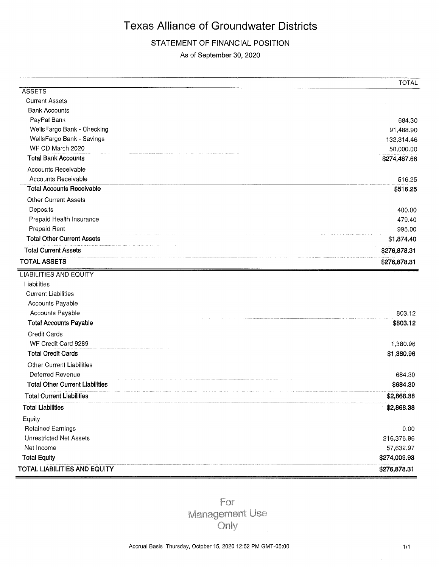### STATEMENT OF FINANCIAL POSITION

As of September 30, 2020

|                                        | <b>TOTAL</b> |
|----------------------------------------|--------------|
| <b>ASSETS</b>                          |              |
| <b>Current Assets</b>                  |              |
| <b>Bank Accounts</b>                   |              |
| PayPal Bank                            | 684.30       |
| WellsFargo Bank - Checking             | 91,488.90    |
| WellsFargo Bank - Savings              | 132,314.46   |
| WF CD March 2020                       | 50,000.00    |
| <b>Total Bank Accounts</b>             | \$274,487.66 |
| Accounts Receivable                    |              |
| Accounts Receivable                    | 516.25       |
| <b>Total Accounts Receivable</b>       | \$516.25     |
| <b>Other Current Assets</b>            |              |
| Deposits                               | 400.00       |
| Prepaid Health Insurance               | 479.40       |
| Prepaid Rent                           | 995.00       |
| <b>Total Other Current Assets</b>      | \$1,874.40   |
| <b>Total Current Assets</b>            | \$276,878.31 |
| <b>TOTAL ASSETS</b>                    | \$276,878.31 |
| <b>LIABILITIES AND EQUITY</b>          |              |
| Liabilities                            |              |
| <b>Current Liabilities</b>             |              |
| Accounts Payable                       |              |
| Accounts Payable                       | 803.12       |
| <b>Total Accounts Payable</b>          | \$803.12     |
| Credit Cards                           |              |
| WF Credit Card 9289                    | 1,380.96     |
| <b>Total Credit Cards</b>              | \$1,380.96   |
| <b>Other Current Liabilities</b>       |              |
| Deferred Revenue                       | 684.30       |
| <b>Total Other Current Liabilities</b> | \$684.30     |
| <b>Total Current Liabilities</b>       | \$2,868.38   |
| <b>Total Liabilities</b>               | \$2,868.38   |
| Equity                                 |              |
| <b>Retained Earnings</b>               | 0.00         |
| <b>Unrestricted Net Assets</b>         | 216,376.96   |
| Net Income                             | 57,632.97    |
| <b>Total Equity</b>                    | \$274,009.93 |
| TOTAL LIABILITIES AND EQUITY           | \$276,878.31 |

For **Management Use** Only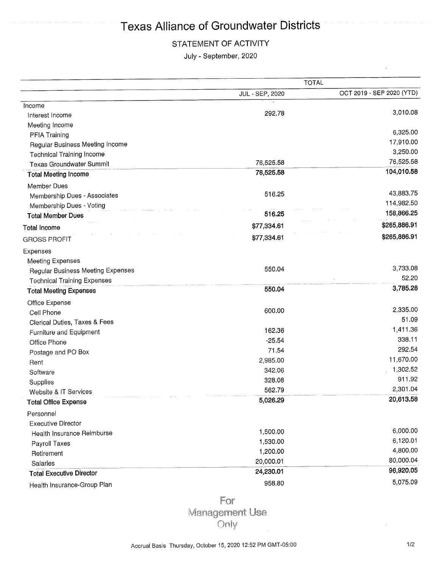## STATEMENT OF ACTIVITY

July - September, 2020

|                                          |                 | <b>TOTAL</b>              |
|------------------------------------------|-----------------|---------------------------|
|                                          | JUL - SEP, 2020 | OCT 2019 - SEP 2020 (YTD) |
| Income                                   |                 |                           |
| Interest Income                          | 292.78          | 3,010.08                  |
| Meeting Income                           |                 |                           |
| <b>PFIA Training</b>                     |                 | 6,325.00                  |
| Regular Business Meeting Income          |                 | 17,910.00                 |
| <b>Technical Training Income</b>         |                 | 3,250.00                  |
| <b>Texas Groundwater Summit</b>          | 76,525.58       | 76,525.58                 |
| <b>Total Meeting Income</b>              | 76,525.58       | 104,010.58                |
| Member Dues                              |                 |                           |
| Membership Dues - Associates             | 516.25          | 43,883.75                 |
| Membership Dues - Voting                 |                 | 114,982.50                |
| <b>Total Member Dues</b>                 | 516.25          | 158,866.25                |
| <b>Total Income</b>                      | \$77,334.61     | \$265,886.91              |
| <b>GROSS PROFIT</b>                      | \$77,334.61     | \$265,886.91              |
| Expenses                                 |                 |                           |
| <b>Meeting Expenses</b>                  |                 |                           |
| <b>Regular Business Meeting Expenses</b> | 550.04          | 3,733.08                  |
| <b>Technical Training Expenses</b>       |                 | 52.20                     |
| <b>Total Meeting Expenses</b>            | 550.04          | 3,785.28                  |
| Office Expense                           |                 |                           |
| Cell Phone                               | 600.00          | 2,335.00                  |
| Clerical Duties, Taxes & Fees            |                 | 51.09                     |
| Furniture and Equipment                  | 162.36          | 1,411.36                  |
| Office Phone                             | $-25.54$        | 338.11                    |
| Postage and PO Box                       | 71.54           | 292.54                    |
| Rent                                     | 2,985.00        | 11,670.00                 |
| Software                                 | 342.06          | 1,302.52                  |
| Supplies                                 | 328.08          | 911.92                    |
| Website & IT Services                    | 562.79          | 2,301.04                  |
| <b>Total Office Expense</b>              | 5,026.29        | 20,613.58                 |
| Personnel                                |                 |                           |
| <b>Executive Director</b>                |                 |                           |
| Health Insurance Reimburse               | 1,500.00        | 6,000.00                  |
| Payroll Taxes                            | 1,530.00        | 6,120.01                  |
| Retirement                               | 1,200.00        | 4,800.00                  |
| Salaries                                 | 20,000.01       | 80,000.04                 |
| <b>Total Executive Director</b>          | 24,230.01       | 96,920.05                 |
| Health Insurance-Group Plan              | 958.80          | 5,075.09                  |

For Management Use Only

l,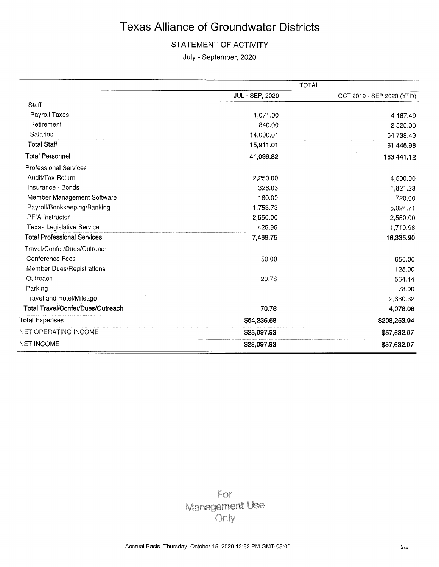### STATEMENT OF ACTIVITY

July - September, 2020

|                                    |                 | <b>TOTAL</b>              |
|------------------------------------|-----------------|---------------------------|
|                                    | JUL - SEP, 2020 | OCT 2019 - SEP 2020 (YTD) |
| Staff                              |                 |                           |
| Payroll Taxes                      | 1,071.00        | 4,187.49                  |
| Retirement                         | 840.00          | 2,520.00                  |
| Salaries                           | 14,000.01       | 54,738.49                 |
| <b>Total Staff</b>                 | 15,911.01       | 61,445.98                 |
| <b>Total Personnel</b>             | 41,099.82       | 163,441.12                |
| <b>Professional Services</b>       |                 |                           |
| Audit/Tax Return                   | 2,250.00        | 4,500.00                  |
| Insurance - Bonds                  | 326.03          | 1,821.23                  |
| Member Management Software         | 180.00          | 720.00                    |
| Payroll/Bookkeeping/Banking        | 1,753.73        | 5,024.71                  |
| <b>PFIA</b> Instructor             | 2,550.00        | 2,550.00                  |
| Texas Legislative Service          | 429.99          | 1,719.96                  |
| <b>Total Professional Services</b> | 7,489.75        | 16,335.90                 |
| Travel/Confer/Dues/Outreach        |                 |                           |
| Conference Fees                    | 50.00           | 650.00                    |
| Member Dues/Registrations          |                 | 125.00                    |
| Outreach                           | 20.78           | 564.44                    |
| Parking                            |                 | 78.00                     |
| Travel and Hotel/Mileage           |                 | 2,660.62                  |
| Total Travel/Confer/Dues/Outreach  | 70.78           | 4,078.06                  |
| Total Expenses                     | \$54,236.68     | \$208,253.94              |
| NET OPERATING INCOME               | \$23,097.93     | \$57,632.97               |
| <b>NET INCOME</b>                  | \$23,097.93     | \$57,632.97               |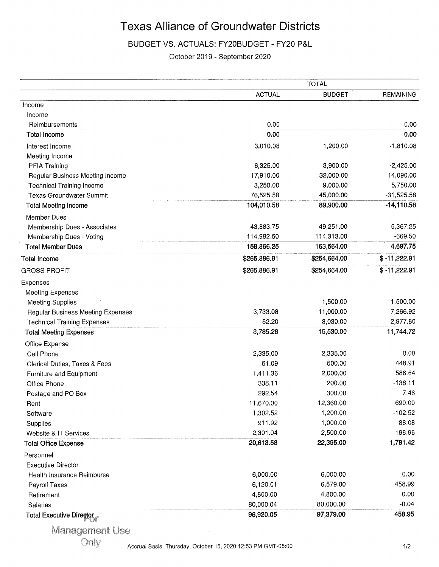### BUDGET VS. ACTUALS: FY20BUDGET - FY20 P&L

October 2019 - September 2020

|                                    |               | <b>TOTAL</b>  |                  |
|------------------------------------|---------------|---------------|------------------|
|                                    | <b>ACTUAL</b> | <b>BUDGET</b> | <b>REMAINING</b> |
| Income                             |               |               |                  |
| Income                             |               |               |                  |
| Reimbursements                     | 0.00          |               | 0.00             |
| <b>Total Income</b>                | 0.00          |               | 0.00             |
| Interest Income                    | 3,010.08      | 1,200.00      | $-1,810.08$      |
| Meeting Income                     |               |               |                  |
| PFIA Training                      | 6,325.00      | 3,900.00      | $-2,425.00$      |
| Regular Business Meeting Income    | 17,910.00     | 32,000.00     | 14,090.00        |
| <b>Technical Training Income</b>   | 3,250.00      | 9,000.00      | 5,750.00         |
| <b>Texas Groundwater Summit</b>    | 76,525.58     | 45,000.00     | $-31,525.58$     |
| <b>Total Meeting Income</b>        | 104,010.58    | 89,900.00     | $-14,110.58$     |
| Member Dues                        |               |               |                  |
| Membership Dues - Associates       | 43,883.75     | 49,251.00     | 5,367.25         |
| Membership Dues - Voting           | 114,982.50    | 114,313.00    | $-669.50$        |
| <b>Total Member Dues</b>           | 158,866.25    | 163,564.00    | 4,697.75         |
| <b>Total Income</b>                | \$265,886.91  | \$254,664.00  | $$ -11,222.91$   |
| <b>GROSS PROFIT</b>                | \$265,886.91  | \$254,664.00  | $$ -11,222.91$   |
| Expenses                           |               |               |                  |
| <b>Meeting Expenses</b>            |               |               |                  |
| <b>Meeting Supplies</b>            |               | 1,500.00      | 1,500.00         |
| Regular Business Meeting Expenses  | 3,733.08      | 11,000.00     | 7,266.92         |
| <b>Technical Training Expenses</b> | 52.20         | 3,030.00      | 2,977.80         |
| <b>Total Meeting Expenses</b>      | 3,785.28      | 15,530.00     | 11,744.72        |
| Office Expense                     |               |               |                  |
| Cell Phone                         | 2,335.00      | 2,335.00      | 0.00             |
| Clerical Duties, Taxes & Fees      | 51.09         | 500.00        | 448.91           |
| Furniture and Equipment            | 1,411.36      | 2,000.00      | 588.64           |
| Office Phone                       | 338.11        | 200.00        | $-138.11$        |
| Postage and PO Box                 | 292.54        | 300.00        | 7.46             |
| Rent                               | 11,670.00     | 12,360.00     | 690.00           |
| Software                           | 1,302.52      | 1,200.00      | $-102.52$        |
| Supplies                           | 911.92        | 1,000.00      | 88.08            |
| Website & IT Services              | 2,301.04      | 2,500.00      | 198.96           |
| <b>Total Office Expense</b>        | 20,613.58     | 22,395.00     | 1,781.42         |
| Personnel                          |               |               |                  |
| <b>Executive Director</b>          |               |               |                  |
| Health Insurance Reimburse         | 6,000.00      | 6,000.00      | 0.00             |
| Payroll Taxes                      | 6,120.01      | 6,579.00      | 458.99           |
| Retirement                         | 4,800.00      | 4,800.00      | 0.00             |
| Salaries                           | 80,000.04     | 80,000.00     | $-0.04$          |
| Total Executive Director           | 96,920.05     | 97,379.00     | 458.95           |
|                                    |               |               |                  |

**Management Use** 

Only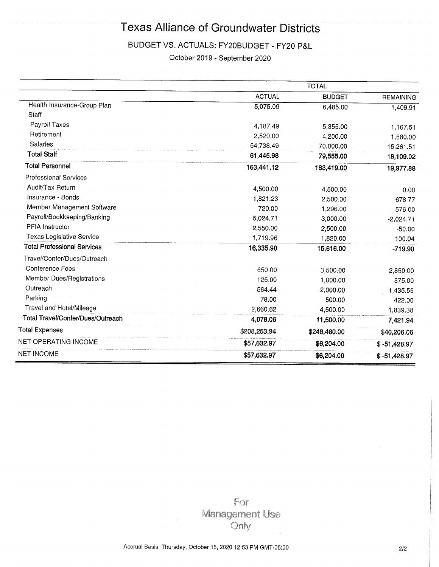# BUDGET VS. ACTUALS: FY20BUDGET - FY20 P&L

October 2019 - September 2020

|                                    |               | <b>TOTAL</b>  |                  |
|------------------------------------|---------------|---------------|------------------|
|                                    | <b>ACTUAL</b> | <b>BUDGET</b> | <b>REMAINING</b> |
| Health Insurance-Group Plan        | 5,075.09      | 6,485.00      | 1,409.91         |
| Staff                              |               |               |                  |
| Payroll Taxes                      | 4,187.49      | 5,355.00      | 1,167.51         |
| Retirement                         | 2,520.00      | 4,200.00      | 1,680.00         |
| Salaries                           | 54,738.49     | 70,000.00     | 15,261.51        |
| <b>Total Staff</b>                 | 61,445.98     | 79,555.00     | 18,109.02        |
| <b>Total Personnel</b>             | 163,441.12    | 183,419.00    | 19,977.88        |
| Professional Services              |               |               |                  |
| Audit/Tax Return                   | 4,500.00      | 4,500.00      | 0.00             |
| Insurance - Bonds                  | 1,821.23      | 2,500.00      | 678.77           |
| Member Management Software         | 720.00        | 1,296.00      | 576.00           |
| Payroll/Bookkeeping/Banking        | 5,024.71      | 3,000.00      | $-2,024.71$      |
| PFIA Instructor                    | 2,550.00      | 2,500.00      | $-50.00$         |
| Texas Legislative Service          | 1,719.96      | 1,820.00      | 100.04           |
| <b>Total Professional Services</b> | 16,335.90     | 15,616.00     | $-719.90$        |
| Travel/Confer/Dues/Outreach        |               |               |                  |
| Conference Fees                    | 650.00        | 3,500.00      | 2,850.00         |
| Member Dues/Registrations          | 125.00        | 1,000.00      | 875.00           |
| Outreach                           | 564.44        | 2,000.00      | 1,435.56         |
| Parking                            | 78.00         | 500.00        | 422.00           |
| Travel and Hotel/Mileage           | 2,660.62      | 4,500.00      | 1,839.38         |
| Total Travel/Confer/Dues/Outreach  | 4,078.06      | 11,500.00     | 7,421.94         |
| <b>Total Expenses</b>              | \$208,253.94  | \$248,460.00  | \$40,206.06      |
| NET OPERATING INCOME               | \$57,632.97   | \$6,204.00    | $$ -51,428.97$   |
| <b>NET INCOME</b>                  | \$57,632.97   | \$6,204.00    | $$ -51,428.97$   |

For **Management Use** Only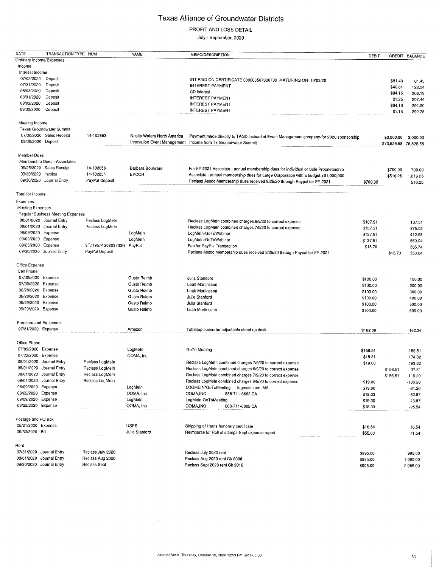### PROFIT AND LOSS DETAIL

July - September, 2020

| DATE                                     | TRANSACTION TYPE NUM              |                             | <b>NAME</b>                       | MEMO/DESCRIPTION                                                                       | DEBIT    |                       | CREDIT BALANCE |
|------------------------------------------|-----------------------------------|-----------------------------|-----------------------------------|----------------------------------------------------------------------------------------|----------|-----------------------|----------------|
| Ordinary Income/Expenses                 |                                   |                             |                                   |                                                                                        |          |                       |                |
| Income                                   |                                   |                             |                                   |                                                                                        |          |                       |                |
| Interest Income                          |                                   |                             |                                   |                                                                                        |          |                       |                |
| 07/03/2020                               | Deposit                           |                             |                                   | INT PAID ON CERTIFICATE 000003587336730 MATURING ON 10/03/20                           |          | \$81.43               | 81.43          |
| 07/31/2020<br>08/03/2020                 | Deposit<br>Deposit                |                             |                                   | <b>INTEREST PAYMENT</b>                                                                |          | \$40.61               | 122.04         |
| 08/31/2020                               | Deposit                           |                             |                                   | CD interest<br>INTEREST PAYMENT                                                        |          | \$84.15               | 206.19         |
| 09/03/2020                               | Deposit                           |                             |                                   | <b>INTEREST PAYMENT</b>                                                                |          | \$1.25                | 207.44         |
| 09/30/2020                               | Deposit                           |                             |                                   | <b>INTEREST PAYMENT</b>                                                                |          | \$84.16               | 291.60         |
|                                          |                                   |                             |                                   |                                                                                        |          | \$1.18                | 292.78         |
| Meeting Income                           |                                   |                             |                                   |                                                                                        |          |                       |                |
|                                          | <b>Texas Groundwater Summit</b>   |                             |                                   |                                                                                        |          |                       |                |
|                                          | 07/30/2020 Sales Recelpt          | 14-102853                   | Nestle Waters North America       | Payment made directly to TAGD instead of Event Management company-for 2020 sponsorship |          | \$3,000.00            | 3,000.00       |
| 09/30/2020 Deposit                       |                                   |                             |                                   | Innovation Event Management Income from Tx Groundwater Summit                          |          | \$73,525.58 76,525.58 |                |
|                                          |                                   |                             |                                   |                                                                                        |          |                       |                |
| Member Dues                              |                                   |                             |                                   |                                                                                        |          |                       |                |
|                                          | Membership Dues - Associates      |                             |                                   |                                                                                        |          |                       |                |
| 09/30/2020 Invoice                       | 09/25/2020 Sales Receipt          | 14-102856                   | Barbara Boulware                  | For FY 2021 Associate - annual membership dues for Individual or Sole Proprietorship   |          | \$700.00              | 700.00         |
|                                          | 09/30/2020 Journal Entry          | 14-102854<br>PayPal Deposit | EPCOR                             | Associate - annual membership dues for Large Corporation with a budget >\$1,000,000    |          | \$516.25              | 1,216.25       |
|                                          |                                   |                             |                                   | Reclass Assoc Membership dues received 9/25/20 through Paypal for FY 2021              | \$700.00 |                       | 516.25         |
| Total for Income                         |                                   |                             |                                   |                                                                                        |          |                       |                |
| Expenses                                 |                                   |                             |                                   |                                                                                        |          |                       |                |
| Meeting Expenses                         |                                   |                             |                                   |                                                                                        |          |                       |                |
|                                          | Regular Business Meeting Expenses |                             |                                   |                                                                                        |          |                       |                |
|                                          | 08/01/2020 Journal Entry          | Reclass LogMeIn             |                                   | Reclass LogMeIn combined charges 6/9/20 to correct expense                             | \$137.51 |                       | 137.51         |
|                                          | 08/01/2020 Journal Entry          | Reclass LogMeIn             |                                   | Reclass LogMeIn combined charges 7/9/20 to correct expense                             | \$137.51 |                       | 275.02         |
| 08/09/2020 Expense                       |                                   |                             | LogMein                           | LogMein-GoToWebinar                                                                    | \$137.51 |                       | 412.53         |
| 09/09/2020 Expense                       |                                   |                             | LogMeIn                           | LogMeIn-GoToWebinar                                                                    | \$137.51 |                       | 550.04         |
| 09/25/2020 Expense                       |                                   | 9F719574S0203732N           | PayPal                            | Fee for PayPal Transaction                                                             | \$15.70  |                       | 565.74         |
|                                          | 09/30/2020 Journal Entry          | PayPal Deposit              |                                   | Reclass Assoc Membership dues received 9/25/20 through Paypal for FY 2021              |          | \$15.70               | 550.04         |
|                                          |                                   |                             |                                   |                                                                                        |          |                       |                |
| Office Expense                           |                                   |                             |                                   |                                                                                        |          |                       |                |
| Cell Phone                               |                                   |                             |                                   |                                                                                        |          |                       |                |
| 07/30/2020 Expense                       |                                   |                             | Gusto Reimb                       | Julia Standord                                                                         | \$100.00 |                       | 100.00         |
| 07/30/2020 Expense                       |                                   |                             | Gusto Reimb                       | Leah Martinsson                                                                        | \$100.00 |                       | 200.00         |
| 08/28/2020 Expense<br>08/28/2020 Expense |                                   |                             | <b>Gusto Reimb</b><br>Gusto Relmb | Leah Martinsson                                                                        | \$100.00 |                       | 300.00         |
| 09/29/2020 Expense                       |                                   |                             | <b>Gusto Reimb</b>                | Julia Stanford<br>Julia Stanford                                                       | \$100.00 |                       | 400.00         |
| 09/29/2020 Expense                       |                                   |                             | Gusto Reimb                       | Leah Martinsson                                                                        | \$100.00 |                       | 500.00         |
|                                          |                                   |                             |                                   |                                                                                        | \$100.00 |                       | 600.00         |
| Furniture and Equipment                  |                                   |                             |                                   |                                                                                        |          |                       |                |
| 07/21/2020 Expense                       |                                   |                             | Amazon                            | Tabletop converter adjustable stand up desk                                            | \$162.36 |                       | 162.36         |
|                                          |                                   |                             |                                   |                                                                                        |          |                       |                |
| Office Phone                             |                                   |                             |                                   |                                                                                        |          |                       |                |
| 07/09/2020 Expense                       |                                   |                             | LogMein                           | GoTo Meeting                                                                           | \$156.51 |                       | 156.51         |
| 07/22/2020 Expense                       |                                   |                             | OOMA, Inc                         |                                                                                        | \$18.31  |                       | 174.82         |
|                                          | 08/01/2020 Journal Entry          | Reclass LogMein             |                                   | Reclass LogMein combined charges 7/9/20 to correct expense                             | \$19.00  |                       | 193.82         |
| 08/01/2020 Journal Entry                 |                                   | Reclass LogMein             |                                   | Reclass LogMeIn combined charges 6/9/20 to correct expense                             |          | \$156.51              | 37.31          |
|                                          | 08/01/2020 Journal Entry          | Reclass LogMeln             |                                   | Reclass LogMeIn combined charges 7/9/20 to correct expense                             |          | \$156.51              | $-119.20$      |
|                                          | 08/01/2020 Journal Entry          | Reclass LogMeIn             |                                   | Reclass LogMeIn combined charges 6/9/20 to correct expense                             | \$19.00  |                       | $-100.20$      |
| 08/09/2020<br>08/22/2020                 | Expense                           |                             | LogMeln                           | LOGMEIN*GoToMeeting<br>logmein.com MA                                                  | \$19.00  |                       | $-81.20$       |
| 09/09/2020                               | Expense<br>Expense                |                             | OOMA, Inc<br>LogMein              | OOMA, INC<br>888-711-6662 CA<br>LogMeIn-GoToMeeting                                    | \$18.33  |                       | $-62.87$       |
| 09/22/2020 Expense                       |                                   |                             | OOMA, Inc                         | OOMA, INC<br>888-711-6662 CA                                                           | \$19.00  |                       | $-43.87$       |
|                                          |                                   |                             |                                   |                                                                                        | \$18.33  |                       | $-25.54$       |
| Postage and PO Box                       |                                   |                             |                                   |                                                                                        |          |                       |                |
| 08/21/2020 Expense                       |                                   |                             | <b>USPS</b>                       | Shipping of Harris honorary certificate                                                | \$16.54  |                       | 16.54          |
| 09/30/2020 Bill                          |                                   |                             | Julia Stanford                    | Reimburse for Roll of stamps-Sept expense report                                       | \$55.00  |                       | 71.54          |
|                                          |                                   |                             |                                   |                                                                                        |          |                       |                |
| Rent                                     |                                   |                             |                                   |                                                                                        |          |                       |                |
| 07/31/2020 Journal Entry                 |                                   | Reclass July 2020           |                                   | Reclass July 2020 rent                                                                 | \$995.00 |                       | 995.00         |
| 08/31/2020                               | Journal Entry                     | Reclass Aug 2020            |                                   | Reclass Aug 2020 rent Ck 2008                                                          | \$995.00 |                       | 1,990.00       |
| 09/30/2020 Journal Entry                 |                                   | Reclass Sept                |                                   | Reclass Sept 2020 rent Ck 2010                                                         | \$995.00 |                       | 2,985.00       |

 $\hat{\boldsymbol{\gamma}}$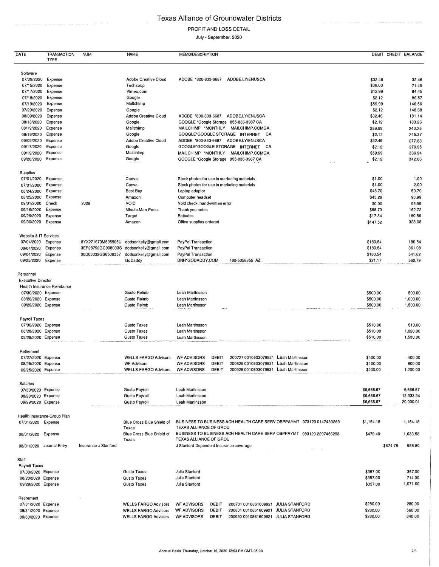$\hat{\phi}$ 

#### PROFIT AND LOSS DETAIL

#### July - September, 2020

| DATE                                                                                        | <b>TRANSACTION</b><br><b>TYPE</b> | <b>NUM</b>           | <b>NAME</b>                               | <b>MEMO/DESCRIPTION</b>                                                                        |                                  |          | DEBIT CREDIT BALANCE           |
|---------------------------------------------------------------------------------------------|-----------------------------------|----------------------|-------------------------------------------|------------------------------------------------------------------------------------------------|----------------------------------|----------|--------------------------------|
| Soltware                                                                                    |                                   |                      |                                           |                                                                                                |                                  |          |                                |
| 07/09/2020                                                                                  | Expense                           |                      | Adobe Creative Cloud                      | ADOBE.LY/ENUSCA<br>ADOBE *800-833-6687                                                         | \$32.46                          |          | 32.46                          |
| 07/15/2020                                                                                  | Expense                           |                      | Techsoup                                  |                                                                                                | \$39.00                          |          | 71.46                          |
| 07/17/2020                                                                                  | Expense                           |                      | VImeo.com                                 |                                                                                                | \$12.99                          |          | 84.45                          |
| 07/18/2020                                                                                  | Expense                           |                      | Google                                    |                                                                                                | \$2.12                           |          | 86.57                          |
| 07/19/2020                                                                                  | Expense                           |                      | Mallchimp                                 |                                                                                                | \$59.99                          |          | 146.56                         |
| 07/20/2020                                                                                  | Expense                           |                      | Google                                    |                                                                                                | \$2.12                           |          | 148.68                         |
| 08/09/2020                                                                                  | Expense                           |                      | Adobe Creative Cloud                      | ADOBE *800-833-6687<br>ADOBE.LY/ENUSCA                                                         | \$32.46                          |          | 181.14                         |
| 08/18/2020                                                                                  | Expense                           |                      | Google                                    | GOOGLE *Google Storage 855-836-3987 CA                                                         | \$2.12                           |          | 183.26                         |
| 08/19/2020                                                                                  | Expense                           |                      | Mailchimp                                 | MAILCHIMP *MONTHLY MAILCHIMP.COMGA                                                             | \$59.99                          |          | 243.25                         |
| 08/19/2020                                                                                  | Expense                           |                      | Google                                    | GOOGLE'GOOGLE STORAGE INTERNET CA                                                              | \$2.12                           |          | 245.37                         |
| 09/09/2020                                                                                  | Expense                           |                      | <b>Adobe Creative Cloud</b>               | ADOBE '800-833-6687<br>ADOBE.LY/ENUSCA                                                         | \$32.46                          |          | 277.83                         |
| 09/17/2020                                                                                  | Expense                           |                      | Google                                    | GOOGLE*GOOGLE STORAGE INTERNET<br>CA                                                           | \$2.12                           |          | 279.95                         |
| 09/19/2020                                                                                  | Expense                           |                      | Mailchimp                                 | MAILCHIMP 'MONTHLY<br>MAILCHIMP.COMGA                                                          | \$59.99                          |          | 339.94                         |
| 09/20/2020                                                                                  | Expense                           |                      | Google                                    | GOOGLE *Google Storage 855-836-3987 CA                                                         | \$2.12                           |          | 342.06                         |
|                                                                                             |                                   |                      |                                           |                                                                                                |                                  |          |                                |
| Supplies                                                                                    |                                   |                      |                                           |                                                                                                |                                  |          |                                |
| 07/01/2020                                                                                  | Expense                           |                      | Canva                                     | Stock photos for use in marketing materials                                                    | \$1.00                           |          | 1.00                           |
| 07/01/2020                                                                                  | Expense                           |                      | Canva                                     | Stock photos for use In marketing materials                                                    | \$1.00                           |          | 2.00                           |
| 08/24/2020                                                                                  | Expense                           |                      | Best Buy                                  | Laptop adaptor                                                                                 | \$48.70                          |          | 50.70                          |
| 08/25/2020                                                                                  | Expense                           |                      | Amazon                                    | Computer headset                                                                               | \$43.29                          |          | 93.99                          |
| 09/01/2020                                                                                  | Check                             | 2009                 | VOID                                      | Vold check, hand-written error                                                                 | \$0.00                           |          | 93.99                          |
| 09/16/2020                                                                                  | Expense                           |                      | Minute Man Press                          | Thank you notes                                                                                | \$68.73                          |          | 162.72                         |
| 09/26/2020                                                                                  | Expense                           |                      | Target                                    | <b>Batteries</b>                                                                               | \$17.84                          |          | 180.56                         |
| 09/30/2020                                                                                  | Expense                           |                      | Amazon                                    | Office supplies ordered                                                                        | \$147.52                         |          | 328.08                         |
| Website & IT Services                                                                       |                                   |                      |                                           |                                                                                                |                                  |          |                                |
| 07/04/2020                                                                                  | Expense                           | 8YX271673M595905U    | dodsonkeliy@gmall.com                     | PayPal Transaction                                                                             | \$180.54                         |          | 180.54                         |
| 08/04/2020                                                                                  | Expense                           | 3EP28792GC908033S    | dodsonkelly@gmail.com                     | PayPal Transaclion                                                                             | \$180.54                         |          | 361.08                         |
| 09/04/2020                                                                                  | Expense                           | 00D03032GS6506357    | dodsonkeliy@gmall.com                     | PayPal Transaction                                                                             | \$180,54                         |          | 541.62                         |
| 09/25/2020                                                                                  | Expense                           |                      | GoDaddy                                   | DNH*GODADDY.COM<br>480-5058855 AZ                                                              | \$21.17                          |          | 562.79                         |
| <b>Executive Director</b><br>07/30/2020 Expense<br>08/28/2020 Expense<br>09/29/2020 Expense | Health Insurance Reimburse        |                      | Gusto Relmb<br>Gusto Reimb<br>Gusto Reimb | Leah MartInsson<br>Leah Martinsson<br>Leah Martinsson<br>$\sim$ $\sim$                         | \$500.00<br>\$500.00<br>\$500.00 |          | 500.00<br>1,000.00<br>1,500.00 |
| Payroll Taxes                                                                               |                                   |                      |                                           |                                                                                                |                                  |          |                                |
| 07/30/2020 Expense                                                                          |                                   |                      | Gusto Taxes                               | Leah MartInsson                                                                                | \$510.00                         |          | 510.00                         |
| 08/28/2020 Expense                                                                          |                                   |                      | Gusto Taxes                               | Leah Martinsson                                                                                | \$510.00                         |          | 1,020.00                       |
| 09/29/2020 Expense                                                                          |                                   |                      | Gusto Taxes                               | Leah Martinsson                                                                                | \$510.00                         |          | 1,530.00                       |
| Retirement                                                                                  |                                   |                      |                                           |                                                                                                |                                  |          |                                |
| 07/27/2020                                                                                  | Expense                           |                      | <b>WELLS FARGO Advisors</b>               | <b>WF ADVISORS</b><br><b>DEBIT</b><br>200727 0010503079531 Leah Martinsson                     | \$400.00                         |          | 400.00                         |
| 08/25/2020 Expense                                                                          |                                   |                      | <b>WF Advisors</b>                        | <b>WF ADVISORS</b><br><b>DEBIT</b><br>200825 0010503079531 Leah Martinsson                     | \$400.00                         |          | 800.00                         |
| 09/25/2020 Expense                                                                          |                                   |                      | <b>WELLS FARGO Advisors</b>               | <b>WF ADVISORS</b><br>DEBIT<br>200925 0010503079531 Leah Martinsson                            | \$400.00                         |          | 1,200.00                       |
|                                                                                             |                                   |                      |                                           |                                                                                                |                                  |          |                                |
| Salaries                                                                                    |                                   |                      |                                           |                                                                                                |                                  |          |                                |
| 07/30/2020 Expense                                                                          |                                   |                      | <b>Gusto Payroll</b>                      | Leah Martinsson                                                                                | \$6,666.67                       |          | 6,666.67                       |
| 08/28/2020 Expense                                                                          |                                   |                      | <b>Gusto Payroll</b>                      | Leah MartInsson                                                                                | \$6,666.67                       |          | 13,333.34                      |
| 09/29/2020 Expense                                                                          |                                   |                      | <b>Gusto Payroll</b>                      | Leah MartInsson                                                                                | \$6,666.67                       |          | 20,000.01                      |
|                                                                                             | Health Insurance-Group Plan       |                      |                                           |                                                                                                |                                  |          |                                |
| 07/31/2020 Expense                                                                          |                                   |                      | Blue Cross Blue Shield of                 | BUSINESS TO BUSINESS ACH HEALTH CARE SERV OBPPAYMT 073120 0147430263                           | \$1,154.18                       |          | 1,154.18                       |
| 08/31/2020 Expense                                                                          |                                   |                      | Texas<br>Blue Cross Blue Shield of        | TEXAS ALLIANCE OF GROU<br>BUSINESS TO BUSINESS ACH HEALTH CARE SERV OBPPAYMT 083120 2297456293 | \$479.40                         |          | 1,633.58                       |
|                                                                                             |                                   |                      | Texas                                     | TEXAS ALLIANCE OF GROU                                                                         |                                  |          |                                |
| 08/31/2020 Journal Entry                                                                    |                                   | Insurance-J Stanford |                                           | J Stanford Dependent Insurance coverage<br>$\alpha$ . The $\alpha$                             |                                  | \$674.78 | 958.80                         |
| Staff                                                                                       |                                   |                      |                                           |                                                                                                |                                  |          |                                |
| Payroll Taxes                                                                               |                                   |                      |                                           |                                                                                                |                                  |          |                                |
| 07/30/2020 Expense                                                                          |                                   |                      | Gusto Taxes                               | Julia Stanford                                                                                 | \$357.00                         |          | 357.00                         |
| 08/28/2020 Expense                                                                          |                                   |                      | Gusto Taxes                               | Julia Stanford                                                                                 | \$357.00                         |          | 714.00                         |
| 09/29/2020 Expense                                                                          |                                   |                      | Gusto Taxes                               | Julia Slanford                                                                                 | \$357.00                         |          | 1,071.00                       |
|                                                                                             |                                   |                      |                                           |                                                                                                |                                  |          |                                |
| Retirement                                                                                  |                                   |                      |                                           |                                                                                                |                                  |          |                                |
| 07/31/2020 Expense                                                                          |                                   |                      | <b>WELLS FARGO Advisors</b>               | <b>WF ADVISORS</b><br><b>DEBIT</b><br>200731 0010861609921 JULIA STANFORD                      | \$280.00                         |          | 280.00                         |
| 08/31/2020 Expense                                                                          |                                   |                      | <b>WELLS FARGO Advisors</b>               | <b>WF ADVISORS</b><br><b>DEBIT</b><br>200831 0010861609921 JULIA STANFORD                      | \$280.00                         |          | 560.00                         |
| 09/30/2020 Expense                                                                          |                                   |                      | <b>WELLS FARGO Advisors</b>               | <b>WF ADVISORS</b><br><b>DEBIT</b><br>200930 0010861609921 JULIA STANFORD                      | \$280.00                         |          | 840.00                         |
|                                                                                             |                                   |                      |                                           |                                                                                                |                                  |          |                                |